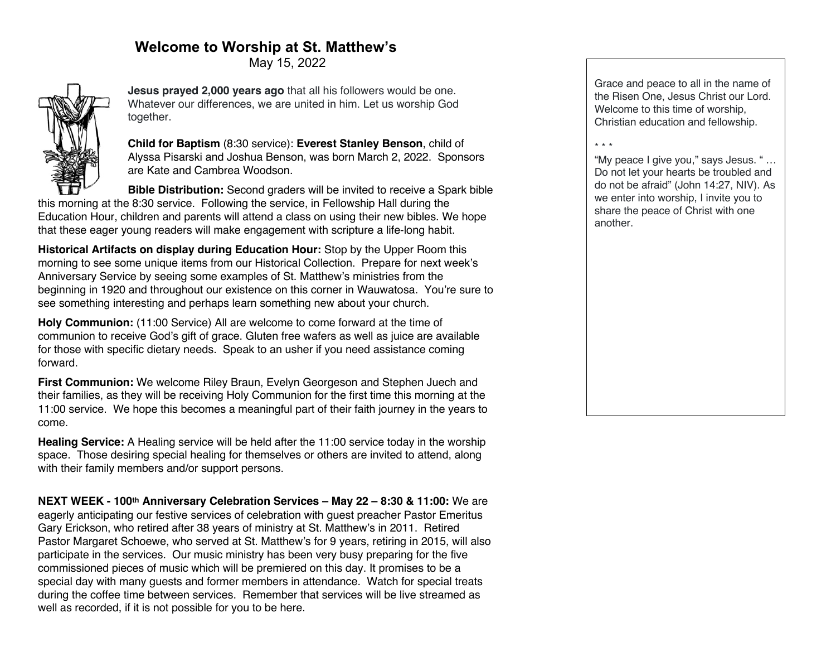# **Welcome to Worship at St. Matthew's**

May 15, 2022



**Jesus prayed 2,000 years ago** that all his followers would be one. Whatever our differences, we are united in him. Let us worship God together.

**Child for Baptism** (8:30 service): **Everest Stanley Benson**, child of Alyssa Pisarski and Joshua Benson, was born March 2, 2022. Sponsors are Kate and Cambrea Woodson.

**Bible Distribution:** Second graders will be invited to receive a Spark bible this morning at the 8:30 service. Following the service, in Fellowship Hall during the Education Hour, children and parents will attend a class on using their new bibles. We hope that these eager young readers will make engagement with scripture a life-long habit.

**Historical Artifacts on display during Education Hour:** Stop by the Upper Room this morning to see some unique items from our Historical Collection. Prepare for next week's Anniversary Service by seeing some examples of St. Matthew's ministries from the beginning in 1920 and throughout our existence on this corner in Wauwatosa. You're sure to see something interesting and perhaps learn something new about your church.

**Holy Communion:** (11:00 Service) All are welcome to come forward at the time of communion to receive God's gift of grace. Gluten free wafers as well as juice are available for those with specific dietary needs. Speak to an usher if you need assistance coming forward.

**First Communion:** We welcome Riley Braun, Evelyn Georgeson and Stephen Juech and their families, as they will be receiving Holy Communion for the first time this morning at the 11:00 service. We hope this becomes a meaningful part of their faith journey in the years to come.

**Healing Service:** A Healing service will be held after the 11:00 service today in the worship space. Those desiring special healing for themselves or others are invited to attend, along with their family members and/or support persons.

**NEXT WEEK - 100th Anniversary Celebration Services – May 22 – 8:30 & 11:00:** We are eagerly anticipating our festive services of celebration with guest preacher Pastor Emeritus Gary Erickson, who retired after 38 years of ministry at St. Matthew's in 2011. Retired Pastor Margaret Schoewe, who served at St. Matthew's for 9 years, retiring in 2015, will also participate in the services. Our music ministry has been very busy preparing for the five commissioned pieces of music which will be premiered on this day. It promises to be a special day with many guests and former members in attendance. Watch for special treats during the coffee time between services. Remember that services will be live streamed as well as recorded, if it is not possible for you to be here.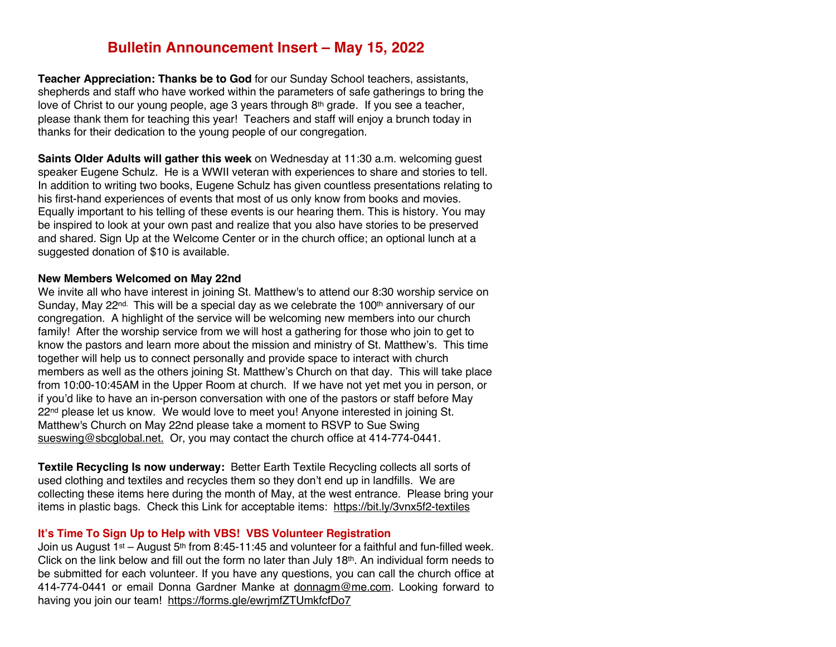### **Bulletin Announcement Insert – May 15, 2022**

**Teacher Appreciation: Thanks be to God** for our Sunday School teachers, assistants, shepherds and staff who have worked within the parameters of safe gatherings to bring the love of Christ to our young people, age 3 years through 8<sup>th</sup> grade. If you see a teacher, please thank them for teaching this year! Teachers and staff will enjoy a brunch today in thanks for their dedication to the young people of our congregation.

**Saints Older Adults will gather this week** on Wednesday at 11:30 a.m. welcoming guest speaker Eugene Schulz. He is a WWII veteran with experiences to share and stories to tell. In addition to writing two books, Eugene Schulz has given countless presentations relating to his first-hand experiences of events that most of us only know from books and movies. Equally important to his telling of these events is our hearing them. This is history. You may be inspired to look at your own past and realize that you also have stories to be preserved and shared. Sign Up at the Welcome Center or in the church office; an optional lunch at a suggested donation of \$10 is available.

#### **New Members Welcomed on May 22nd**

We invite all who have interest in joining St. Matthew's to attend our 8:30 worship service on Sunday, May  $22^{nd}$ . This will be a special day as we celebrate the 100<sup>th</sup> anniversary of our congregation. A highlight of the service will be welcoming new members into our church family! After the worship service from we will host a gathering for those who join to get to know the pastors and learn more about the mission and ministry of St. Matthew's. This time together will help us to connect personally and provide space to interact with church members as well as the others joining St. Matthew's Church on that day. This will take place from 10:00-10:45AM in the Upper Room at church. If we have not yet met you in person, or if you'd like to have an in-person conversation with one of the pastors or staff before May  $22<sup>nd</sup>$  please let us know. We would love to meet you! Anyone interested in joining St. Matthew's Church on May 22nd please take a moment to RSVP to Sue Swing sueswing@sbcglobal.net. Or, you may contact the church office at 414-774-0441.

**Textile Recycling Is now underway:** Better Earth Textile Recycling collects all sorts of used clothing and textiles and recycles them so they don't end up in landfills. We are collecting these items here during the month of May, at the west entrance. Please bring your items in plastic bags. Check this Link for acceptable items: https://bit.ly/3vnx5f2-textiles

### **It's Time To Sign Up to Help with VBS! VBS Volunteer Registration**

Join us August  $1^{st}$  – August  $5^{th}$  from 8:45-11:45 and volunteer for a faithful and fun-filled week. Click on the link below and fill out the form no later than July 18<sup>th</sup>. An individual form needs to be submitted for each volunteer. If you have any questions, you can call the church office at 414-774-0441 or email Donna Gardner Manke at donnagm@me.com. Looking forward to having you join our team! https://forms.gle/ewrjmfZTUmkfcfDo7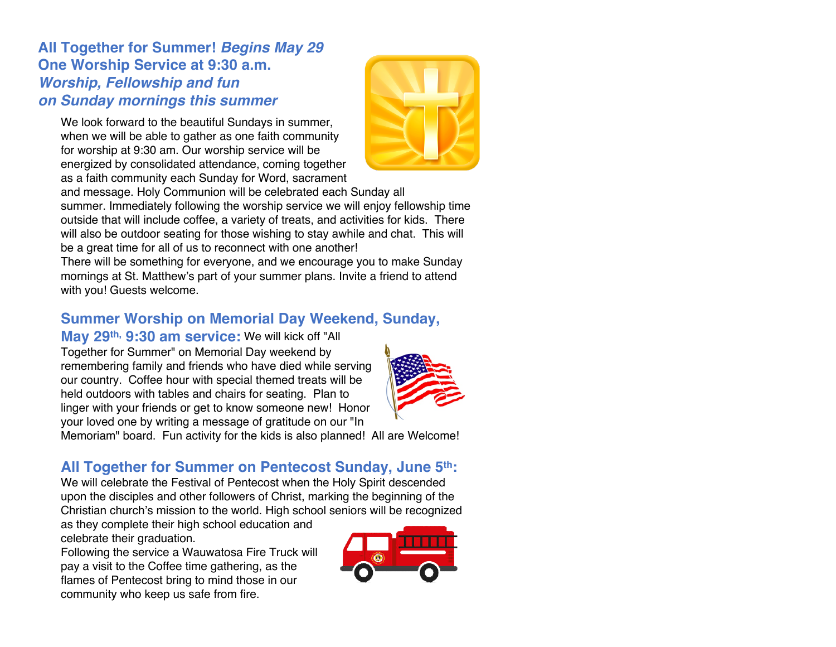**All Together for Summer!** *Begins May 29* **One Worship Service at 9:30 a.m.** *Worship, Fellowship and fun on Sunday mornings this summer*

We look forward to the beautiful Sundays in summer, when we will be able to gather as one faith community for worship at 9:30 am. Our worship service will be energized by consolidated attendance, coming together as a faith community each Sunday for Word, sacrament

and message. Holy Communion will be celebrated each Sunday all summer. Immediately following the worship service we will enjoy fellowship time outside that will include coffee, a variety of treats, and activities for kids. There will also be outdoor seating for those wishing to stay awhile and chat. This will be a great time for all of us to reconnect with one another!

There will be something for everyone, and we encourage you to make Sunday mornings at St. Matthew's part of your summer plans. Invite a friend to attend with you! Guests welcome.

## **Summer Worship on Memorial Day Weekend, Sunday,**

**May 29th, 9:30 am service:** We will kick off "All Together for Summer" on Memorial Day weekend by remembering family and friends who have died while serving our country. Coffee hour with special themed treats will be held outdoors with tables and chairs for seating. Plan to linger with your friends or get to know someone new! Honor your loved one by writing a message of gratitude on our "In

Memoriam" board. Fun activity for the kids is also planned! All are Welcome!

## **All Together for Summer on Pentecost Sunday, June 5th:**

We will celebrate the Festival of Pentecost when the Holy Spirit descended upon the disciples and other followers of Christ, marking the beginning of the Christian church's mission to the world. High school seniors will be recognized

as they complete their high school education and celebrate their graduation.

Following the service a Wauwatosa Fire Truck will pay a visit to the Coffee time gathering, as the flames of Pentecost bring to mind those in our community who keep us safe from fire.